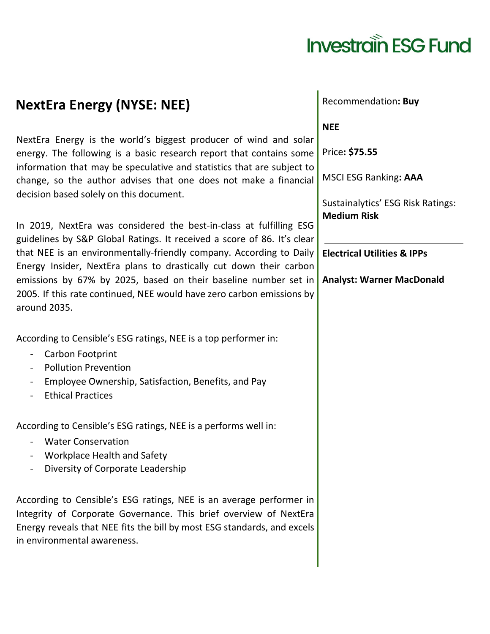## **Investrain ESG Fund**

## NextEra Energy is the world's biggest producer of wind and solar energy. The following is a basic research report that contains some information that may be speculative and statistics that are subject to change, so the author advises that one does not make a financial

**NextEra Energy (NYSE: NEE)**

decision based solely on this document.

In 2019, NextEra was considered the best-in-class at fulfilling ESG guidelines by S&P Global Ratings. It received a score of 86. It's clear that NEE is an environmentally-friendly company. According to Daily Energy Insider, NextEra plans to drastically cut down their carbon emissions by 67% by 2025, based on their baseline number set in 2005. If this rate continued, NEE would have zero carbon emissions by around 2035.

According to Censible's ESG ratings, NEE is a top performer in:

- Carbon Footprint
- Pollution Prevention
- Employee Ownership, Satisfaction, Benefits, and Pay
- Ethical Practices

According to Censible's ESG ratings, NEE is a performs well in:

- Water Conservation
- Workplace Health and Safety
- Diversity of Corporate Leadership

According to Censible's ESG ratings, NEE is an average performer in Integrity of Corporate Governance. This brief overview of NextEra Energy reveals that NEE fits the bill by most ESG standards, and excels in environmental awareness.

**NEE**

Recommendation**: Buy**

Price**: \$75.55**

MSCI ESG Ranking**: AAA**

Sustainalytics' ESG Risk Ratings: **Medium Risk**

**Electrical Utilities & IPPs**

**Analyst: Warner MacDonald**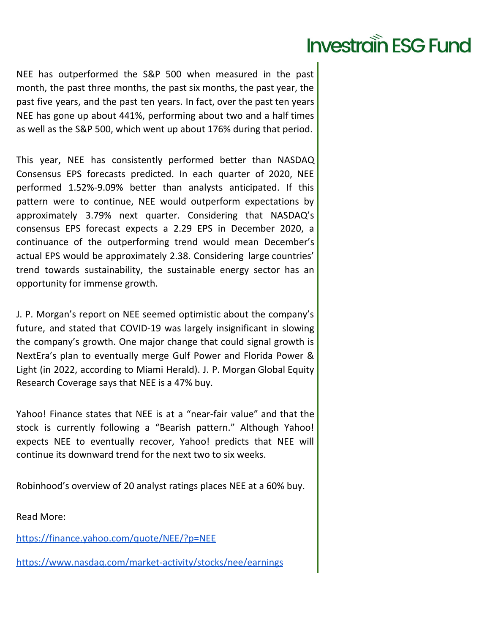## **Investrain ESG Fund**

NEE has outperformed the S&P 500 when measured in the past month, the past three months, the past six months, the past year, the past five years, and the past ten years. In fact, over the past ten years NEE has gone up about 441%, performing about two and a half times as well as the S&P 500, which went up about 176% during that period.

This year, NEE has consistently performed better than NASDAQ Consensus EPS forecasts predicted. In each quarter of 2020, NEE performed 1.52%-9.09% better than analysts anticipated. If this pattern were to continue, NEE would outperform expectations by approximately 3.79% next quarter. Considering that NASDAQ's consensus EPS forecast expects a 2.29 EPS in December 2020, a continuance of the outperforming trend would mean December's actual EPS would be approximately 2.38. Considering large countries' trend towards sustainability, the sustainable energy sector has an opportunity for immense growth.

J. P. Morgan's report on NEE seemed optimistic about the company's future, and stated that COVID-19 was largely insignificant in slowing the company's growth. One major change that could signal growth is NextEra's plan to eventually merge Gulf Power and Florida Power & Light (in 2022, according to Miami Herald). J. P. Morgan Global Equity Research Coverage says that NEE is a 47% buy.

Yahoo! Finance states that NEE is at a "near-fair value" and that the stock is currently following a "Bearish pattern." Although Yahoo! expects NEE to eventually recover, Yahoo! predicts that NEE will continue its downward trend for the next two to six weeks.

Robinhood's overview of 20 analyst ratings places NEE at a 60% buy.

Read More:

https://finance.yahoo.com/quote/NEE/?p=NEE

https://www.nasdaq.com/market-activity/stocks/nee/earnings